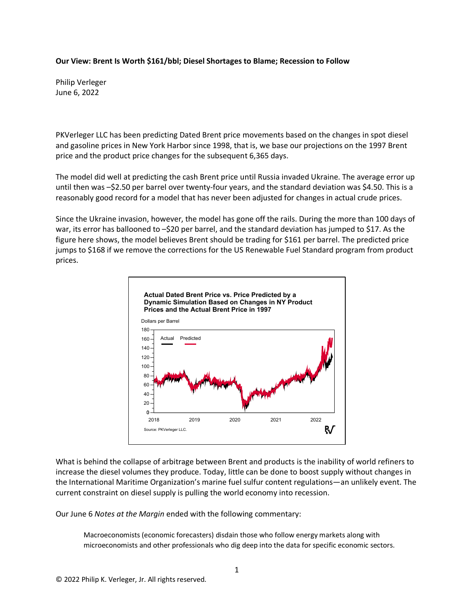## **Our View: Brent Is Worth \$161/bbl; Diesel Shortages to Blame; Recession to Follow**

Philip Verleger June 6, 2022

PKVerleger LLC has been predicting Dated Brent price movements based on the changes in spot diesel and gasoline prices in New York Harbor since 1998, that is, we base our projections on the 1997 Brent price and the product price changes for the subsequent 6,365 days.

The model did well at predicting the cash Brent price until Russia invaded Ukraine. The average error up until then was -\$2.50 per barrel over twenty-four years, and the standard deviation was \$4.50. This is a reasonably good record for a model that has never been adjusted for changes in actual crude prices.

Since the Ukraine invasion, however, the model has gone off the rails. During the more than 100 days of war, its error has ballooned to -\$20 per barrel, and the standard deviation has jumped to \$17. As the figure here shows, the model believes Brent should be trading for \$161 per barrel. The predicted price jumps to \$168 if we remove the corrections for the US Renewable Fuel Standard program from product prices.



What is behind the collapse of arbitrage between Brent and products is the inability of world refiners to increase the diesel volumes they produce. Today, little can be done to boost supply without changes in the International Maritime Organization's marine fuel sulfur content regulations—an unlikely event. The current constraint on diesel supply is pulling the world economy into recession.

Our June 6 *Notes at the Margin* ended with the following commentary:

Macroeconomists (economic forecasters) disdain those who follow energy markets along with microeconomists and other professionals who dig deep into the data for specific economic sectors.